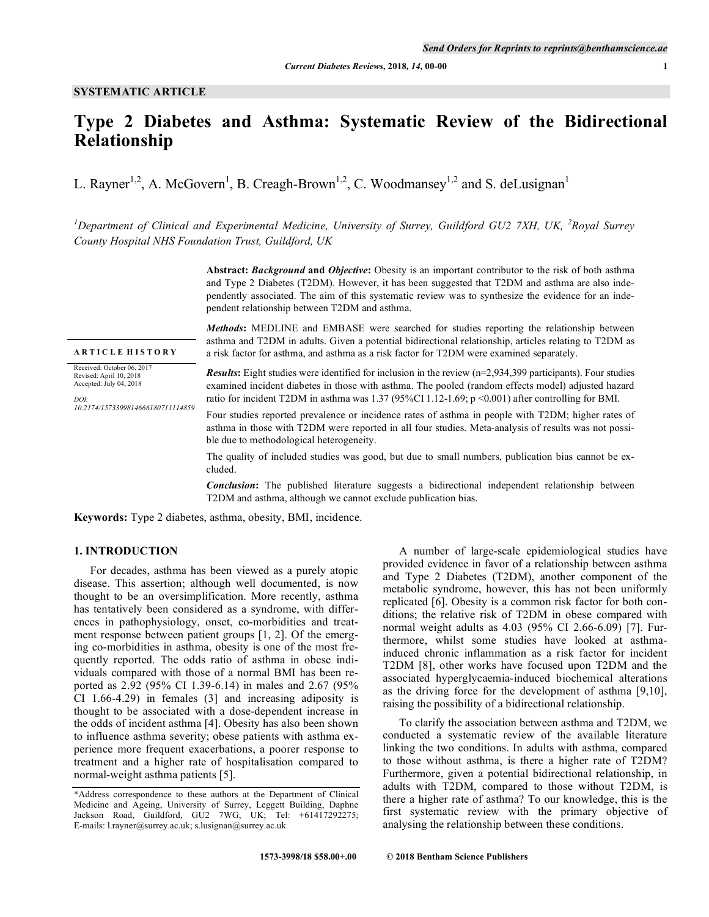# **Type 2 Diabetes and Asthma: Systematic Review of the Bidirectional Relationship**

L. Rayner<sup>1,2</sup>, A. McGovern<sup>1</sup>, B. Creagh-Brown<sup>1,2</sup>, C. Woodmansey<sup>1,2</sup> and S. deLusignan<sup>1</sup>

<sup>1</sup>Department of Clinical and Experimental Medicine, University of Surrey, Guildford GU2 7XH, UK, <sup>2</sup>Royal Surrey *County Hospital NHS Foundation Trust, Guildford, UK*

> **Abstract:** *Background* **and** *Objective***:** Obesity is an important contributor to the risk of both asthma and Type 2 Diabetes (T2DM). However, it has been suggested that T2DM and asthma are also independently associated. The aim of this systematic review was to synthesize the evidence for an independent relationship between T2DM and asthma.

**A R T I C L E H I S T O R Y** Received: October 06, 2017 Revised: April 10, 2018 Accepted: July 04, 2018 *DOI: 10.2174/1573399814666180711114859*

*Methods***:** MEDLINE and EMBASE were searched for studies reporting the relationship between asthma and T2DM in adults. Given a potential bidirectional relationship, articles relating to T2DM as a risk factor for asthma, and asthma as a risk factor for T2DM were examined separately.

*Results*: Eight studies were identified for inclusion in the review (n=2,934,399 participants). Four studies examined incident diabetes in those with asthma. The pooled (random effects model) adjusted hazard ratio for incident T2DM in asthma was 1.37 (95%CI 1.12-1.69; p <0.001) after controlling for BMI.

Four studies reported prevalence or incidence rates of asthma in people with T2DM; higher rates of asthma in those with T2DM were reported in all four studies. Meta-analysis of results was not possible due to methodological heterogeneity.

The quality of included studies was good, but due to small numbers, publication bias cannot be excluded.

*Conclusion*: The published literature suggests a bidirectional independent relationship between T2DM and asthma, although we cannot exclude publication bias.

**Keywords:** Type 2 diabetes, asthma, obesity, BMI, incidence.

# **1. INTRODUCTION**

For decades, asthma has been viewed as a purely atopic disease. This assertion; although well documented, is now thought to be an oversimplification. More recently, asthma has tentatively been considered as a syndrome, with differences in pathophysiology, onset, co-morbidities and treatment response between patient groups [1, 2]. Of the emerging co-morbidities in asthma, obesity is one of the most frequently reported. The odds ratio of asthma in obese individuals compared with those of a normal BMI has been reported as 2.92 (95% CI 1.39-6.14) in males and 2.67 (95% CI 1.66-4.29) in females (3] and increasing adiposity is thought to be associated with a dose-dependent increase in the odds of incident asthma [4]. Obesity has also been shown to influence asthma severity; obese patients with asthma experience more frequent exacerbations, a poorer response to treatment and a higher rate of hospitalisation compared to normal-weight asthma patients [5].

A number of large-scale epidemiological studies have provided evidence in favor of a relationship between asthma and Type 2 Diabetes (T2DM), another component of the metabolic syndrome, however, this has not been uniformly replicated [6]. Obesity is a common risk factor for both conditions; the relative risk of T2DM in obese compared with normal weight adults as 4.03 (95% CI 2.66-6.09) [7]. Furthermore, whilst some studies have looked at asthmainduced chronic inflammation as a risk factor for incident T2DM [8], other works have focused upon T2DM and the associated hyperglycaemia-induced biochemical alterations as the driving force for the development of asthma [9,10], raising the possibility of a bidirectional relationship.

To clarify the association between asthma and T2DM, we conducted a systematic review of the available literature linking the two conditions. In adults with asthma, compared to those without asthma, is there a higher rate of T2DM? Furthermore, given a potential bidirectional relationship, in adults with T2DM, compared to those without T2DM, is there a higher rate of asthma? To our knowledge, this is the first systematic review with the primary objective of analysing the relationship between these conditions.

<sup>\*</sup>Address correspondence to these authors at the Department of Clinical Medicine and Ageing, University of Surrey, Leggett Building, Daphne Jackson Road, Guildford, GU2 7WG, UK; Tel: +61417292275; E-mails: l.rayner@surrey.ac.uk; s.lusignan@surrey.ac.uk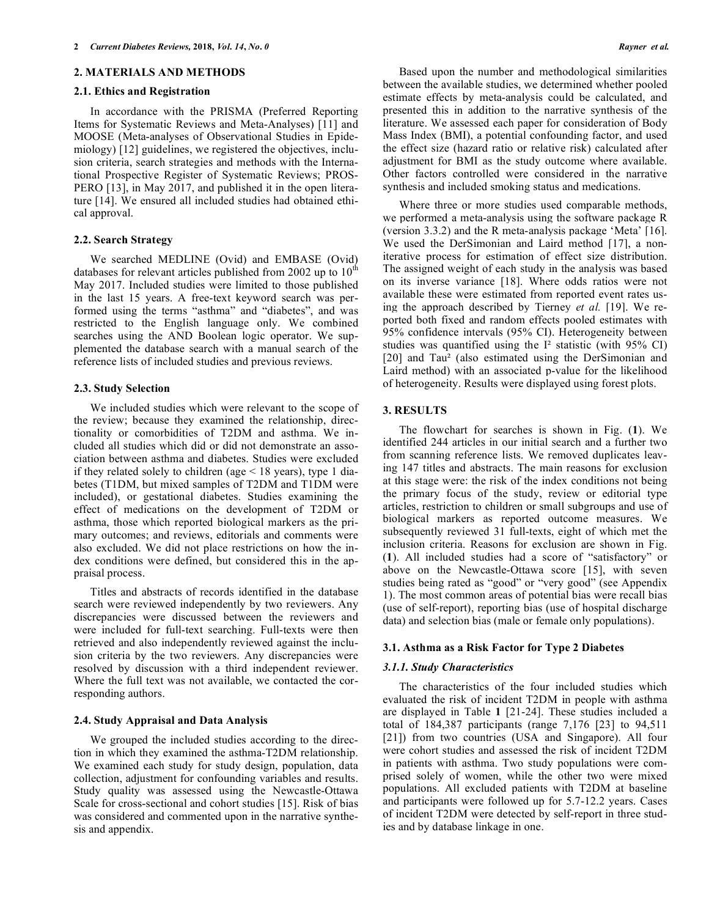## **2. MATERIALS AND METHODS**

#### **2.1. Ethics and Registration**

In accordance with the PRISMA (Preferred Reporting Items for Systematic Reviews and Meta-Analyses) [11] and MOOSE (Meta-analyses of Observational Studies in Epidemiology) [12] guidelines, we registered the objectives, inclusion criteria, search strategies and methods with the International Prospective Register of Systematic Reviews; PROS-PERO [13], in May 2017, and published it in the open literature [14]. We ensured all included studies had obtained ethical approval.

# **2.2. Search Strategy**

We searched MEDLINE (Ovid) and EMBASE (Ovid) databases for relevant articles published from 2002 up to  $10<sup>th</sup>$ May 2017. Included studies were limited to those published in the last 15 years. A free-text keyword search was performed using the terms "asthma" and "diabetes", and was restricted to the English language only. We combined searches using the AND Boolean logic operator. We supplemented the database search with a manual search of the reference lists of included studies and previous reviews.

# **2.3. Study Selection**

We included studies which were relevant to the scope of the review; because they examined the relationship, directionality or comorbidities of T2DM and asthma. We included all studies which did or did not demonstrate an association between asthma and diabetes. Studies were excluded if they related solely to children (age < 18 years), type 1 diabetes (T1DM, but mixed samples of T2DM and T1DM were included), or gestational diabetes. Studies examining the effect of medications on the development of T2DM or asthma, those which reported biological markers as the primary outcomes; and reviews, editorials and comments were also excluded. We did not place restrictions on how the index conditions were defined, but considered this in the appraisal process.

Titles and abstracts of records identified in the database search were reviewed independently by two reviewers. Any discrepancies were discussed between the reviewers and were included for full-text searching. Full-texts were then retrieved and also independently reviewed against the inclusion criteria by the two reviewers. Any discrepancies were resolved by discussion with a third independent reviewer. Where the full text was not available, we contacted the corresponding authors.

## **2.4. Study Appraisal and Data Analysis**

We grouped the included studies according to the direction in which they examined the asthma-T2DM relationship. We examined each study for study design, population, data collection, adjustment for confounding variables and results. Study quality was assessed using the Newcastle-Ottawa Scale for cross-sectional and cohort studies [15]. Risk of bias was considered and commented upon in the narrative synthesis and appendix.

Based upon the number and methodological similarities between the available studies, we determined whether pooled estimate effects by meta-analysis could be calculated, and presented this in addition to the narrative synthesis of the literature. We assessed each paper for consideration of Body Mass Index (BMI), a potential confounding factor, and used the effect size (hazard ratio or relative risk) calculated after adjustment for BMI as the study outcome where available. Other factors controlled were considered in the narrative synthesis and included smoking status and medications.

Where three or more studies used comparable methods, we performed a meta-analysis using the software package R (version 3.3.2) and the R meta-analysis package 'Meta' [16]. We used the DerSimonian and Laird method [17], a noniterative process for estimation of effect size distribution. The assigned weight of each study in the analysis was based on its inverse variance [18]. Where odds ratios were not available these were estimated from reported event rates using the approach described by Tierney *et al.* [19]. We reported both fixed and random effects pooled estimates with 95% confidence intervals (95% CI). Heterogeneity between studies was quantified using the I² statistic (with 95% CI) [20] and Tau<sup>2</sup> (also estimated using the DerSimonian and Laird method) with an associated p-value for the likelihood of heterogeneity. Results were displayed using forest plots.

# **3. RESULTS**

The flowchart for searches is shown in Fig. (**1**). We identified 244 articles in our initial search and a further two from scanning reference lists. We removed duplicates leaving 147 titles and abstracts. The main reasons for exclusion at this stage were: the risk of the index conditions not being the primary focus of the study, review or editorial type articles, restriction to children or small subgroups and use of biological markers as reported outcome measures. We subsequently reviewed 31 full-texts, eight of which met the inclusion criteria. Reasons for exclusion are shown in Fig. (**1**). All included studies had a score of "satisfactory" or above on the Newcastle-Ottawa score [15], with seven studies being rated as "good" or "very good" (see Appendix 1). The most common areas of potential bias were recall bias (use of self-report), reporting bias (use of hospital discharge data) and selection bias (male or female only populations).

# **3.1. Asthma as a Risk Factor for Type 2 Diabetes**

# *3.1.1. Study Characteristics*

The characteristics of the four included studies which evaluated the risk of incident T2DM in people with asthma are displayed in Table **1** [21-24]. These studies included a total of 184,387 participants (range 7,176 [23] to 94,511 [21]) from two countries (USA and Singapore). All four were cohort studies and assessed the risk of incident T2DM in patients with asthma. Two study populations were comprised solely of women, while the other two were mixed populations. All excluded patients with T2DM at baseline and participants were followed up for 5.7-12.2 years. Cases of incident T2DM were detected by self-report in three studies and by database linkage in one.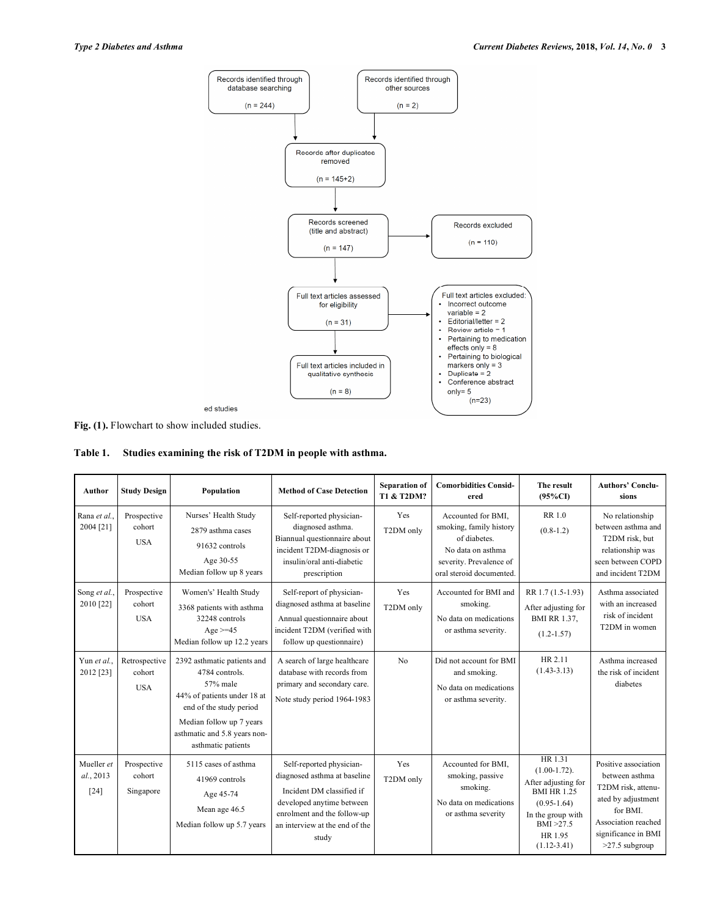

**Fig. (1).** Flowchart to show included studies.

| Table 1. | Studies examining the risk of T2DM in people with asthma. |  |  |
|----------|-----------------------------------------------------------|--|--|
|          |                                                           |  |  |

| <b>Author</b>                     | <b>Study Design</b>                   | Population                                                                                                                                                                                            | <b>Method of Case Detection</b>                                                                                                                                                              | <b>Separation of</b><br><b>T1 &amp; T2DM?</b> | <b>Comorbidities Consid-</b><br>ered                                                                                                     | The result<br>$(95\%CI)$                                                                                                                                  | <b>Authors' Conclu-</b><br>sions                                                                                                                               |
|-----------------------------------|---------------------------------------|-------------------------------------------------------------------------------------------------------------------------------------------------------------------------------------------------------|----------------------------------------------------------------------------------------------------------------------------------------------------------------------------------------------|-----------------------------------------------|------------------------------------------------------------------------------------------------------------------------------------------|-----------------------------------------------------------------------------------------------------------------------------------------------------------|----------------------------------------------------------------------------------------------------------------------------------------------------------------|
| Rana et al.<br>2004 [21]          | Prospective<br>cohort<br><b>USA</b>   | Nurses' Health Study<br>2879 asthma cases<br>91632 controls<br>Age 30-55<br>Median follow up 8 years                                                                                                  | Self-reported physician-<br>diagnosed asthma.<br>Biannual questionnaire about<br>incident T2DM-diagnosis or<br>insulin/oral anti-diabetic<br>prescription                                    | Yes<br>T2DM only                              | Accounted for BMI.<br>smoking, family history<br>of diabetes.<br>No data on asthma<br>severity. Prevalence of<br>oral steroid documented | <b>RR10</b><br>$(0.8-1.2)$                                                                                                                                | No relationship<br>between asthma and<br>T2DM risk, but<br>relationship was<br>seen between COPD<br>and incident T2DM                                          |
| Song et al.,<br>2010 [22]         | Prospective<br>cohort<br><b>USA</b>   | Women's' Health Study<br>3368 patients with asthma<br>32248 controls<br>Age $>=$ 45<br>Median follow up 12.2 years                                                                                    | Self-report of physician-<br>diagnosed asthma at baseline<br>Annual questionnaire about<br>incident T2DM (verified with<br>follow up questionnaire)                                          | Yes<br>T2DM only                              | Accounted for BMI and<br>smoking.<br>No data on medications<br>or asthma severity.                                                       | RR 1.7 (1.5-1.93)<br>After adjusting for<br><b>BMI RR 1.37,</b><br>$(1.2 - 1.57)$                                                                         | Asthma associated<br>with an increased<br>risk of incident<br>T2DM in women                                                                                    |
| Yun et al<br>2012 [23]            | Retrospective<br>cohort<br><b>USA</b> | 2392 asthmatic patients and<br>4784 controls.<br>57% male<br>44% of patients under 18 at<br>end of the study period<br>Median follow up 7 years<br>asthmatic and 5.8 years non-<br>asthmatic patients | A search of large healthcare<br>database with records from<br>primary and secondary care.<br>Note study period 1964-1983                                                                     | No                                            | Did not account for BMI<br>and smoking.<br>No data on medications<br>or asthma severity.                                                 | HR 2.11<br>$(1.43 - 3.13)$                                                                                                                                | Asthma increased<br>the risk of incident<br>diabetes                                                                                                           |
| Mueller et<br>al., 2013<br>$[24]$ | Prospective<br>cohort<br>Singapore    | 5115 cases of asthma<br>41969 controls<br>Age 45-74<br>Mean age 46.5<br>Median follow up 5.7 years                                                                                                    | Self-reported physician-<br>diagnosed asthma at baseline<br>Incident DM classified if<br>developed anytime between<br>enrolment and the follow-up<br>an interview at the end of the<br>study | Yes<br>T2DM only                              | Accounted for BMI.<br>smoking, passive<br>smoking.<br>No data on medications<br>or asthma severity                                       | HR 1.31<br>$(1.00-1.72)$ .<br>After adjusting for<br><b>BMI HR 1.25</b><br>$(0.95-1.64)$<br>In the group with<br>BMI > 27.5<br>HR 1.95<br>$(1.12 - 3.41)$ | Positive association<br>between asthma<br>T2DM risk, attenu-<br>ated by adjustment<br>for BMI.<br>Association reached<br>significance in BMI<br>>27.5 subgroup |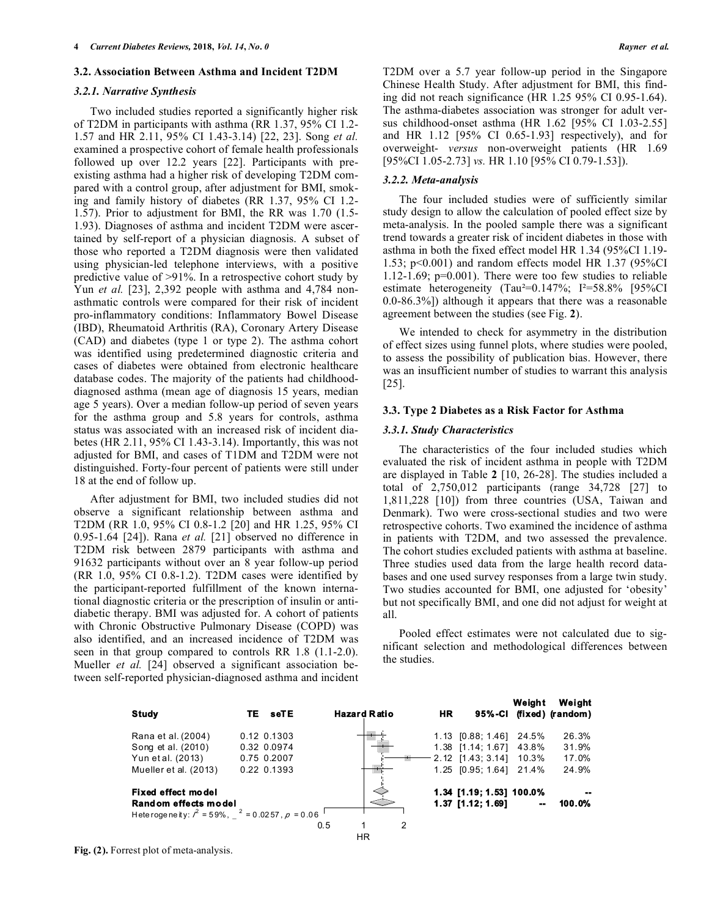## **3.2. Association Between Asthma and Incident T2DM**

## *3.2.1. Narrative Synthesis*

Two included studies reported a significantly higher risk of T2DM in participants with asthma (RR 1.37, 95% CI 1.2- 1.57 and HR 2.11, 95% CI 1.43-3.14) [22, 23]. Song *et al.* examined a prospective cohort of female health professionals followed up over 12.2 years [22]. Participants with preexisting asthma had a higher risk of developing T2DM compared with a control group, after adjustment for BMI, smoking and family history of diabetes (RR 1.37, 95% CI 1.2- 1.57). Prior to adjustment for BMI, the RR was 1.70 (1.5- 1.93). Diagnoses of asthma and incident T2DM were ascertained by self-report of a physician diagnosis. A subset of those who reported a T2DM diagnosis were then validated using physician-led telephone interviews, with a positive predictive value of >91%. In a retrospective cohort study by Yun *et al.* [23], 2,392 people with asthma and 4,784 nonasthmatic controls were compared for their risk of incident pro-inflammatory conditions: Inflammatory Bowel Disease (IBD), Rheumatoid Arthritis (RA), Coronary Artery Disease (CAD) and diabetes (type 1 or type 2). The asthma cohort was identified using predetermined diagnostic criteria and cases of diabetes were obtained from electronic healthcare database codes. The majority of the patients had childhooddiagnosed asthma (mean age of diagnosis 15 years, median age 5 years). Over a median follow-up period of seven years for the asthma group and 5.8 years for controls, asthma status was associated with an increased risk of incident diabetes (HR 2.11, 95% CI 1.43-3.14). Importantly, this was not adjusted for BMI, and cases of T1DM and T2DM were not distinguished. Forty-four percent of patients were still under 18 at the end of follow up.

After adjustment for BMI, two included studies did not observe a significant relationship between asthma and T2DM (RR 1.0, 95% CI 0.8-1.2 [20] and HR 1.25, 95% CI 0.95-1.64 [24]). Rana *et al.* [21] observed no difference in T2DM risk between 2879 participants with asthma and 91632 participants without over an 8 year follow-up period (RR 1.0, 95% CI 0.8-1.2). T2DM cases were identified by the participant-reported fulfillment of the known international diagnostic criteria or the prescription of insulin or antidiabetic therapy. BMI was adjusted for. A cohort of patients with Chronic Obstructive Pulmonary Disease (COPD) was also identified, and an increased incidence of T2DM was seen in that group compared to controls RR  $1.8$  (1.1-2.0). Mueller *et al.* [24] observed a significant association between self-reported physician-diagnosed asthma and incident

T2DM over a 5.7 year follow-up period in the Singapore Chinese Health Study. After adjustment for BMI, this finding did not reach significance (HR 1.25 95% CI 0.95-1.64). The asthma-diabetes association was stronger for adult versus childhood-onset asthma (HR 1.62 [95% CI 1.03-2.55] and HR 1.12 [95% CI 0.65-1.93] respectively), and for overweight- *versus* non-overweight patients (HR 1.69 [95%CI 1.05-2.73] *vs.* HR 1.10 [95% CI 0.79-1.53]).

## *3.2.2. Meta-analysis*

The four included studies were of sufficiently similar study design to allow the calculation of pooled effect size by meta-analysis. In the pooled sample there was a significant trend towards a greater risk of incident diabetes in those with asthma in both the fixed effect model HR 1.34 (95%CI 1.19- 1.53; p<0.001) and random effects model HR 1.37 (95%CI 1.12-1.69; p=0.001). There were too few studies to reliable estimate heterogeneity (Tau²=0.147%; I²=58.8% [95%CI 0.0-86.3%]) although it appears that there was a reasonable agreement between the studies (see Fig. **2**).

We intended to check for asymmetry in the distribution of effect sizes using funnel plots, where studies were pooled, to assess the possibility of publication bias. However, there was an insufficient number of studies to warrant this analysis [25].

#### **3.3. Type 2 Diabetes as a Risk Factor for Asthma**

## *3.3.1. Study Characteristics*

The characteristics of the four included studies which evaluated the risk of incident asthma in people with T2DM are displayed in Table **2** [10, 26-28]. The studies included a total of 2,750,012 participants (range 34,728 [27] to 1,811,228 [10]) from three countries (USA, Taiwan and Denmark). Two were cross-sectional studies and two were retrospective cohorts. Two examined the incidence of asthma in patients with T2DM, and two assessed the prevalence. The cohort studies excluded patients with asthma at baseline. Three studies used data from the large health record databases and one used survey responses from a large twin study. Two studies accounted for BMI, one adjusted for 'obesity' but not specifically BMI, and one did not adjust for weight at all.

Pooled effect estimates were not calculated due to significant selection and methodological differences between the studies.



**Fig. (2).** Forrest plot of meta-analysis.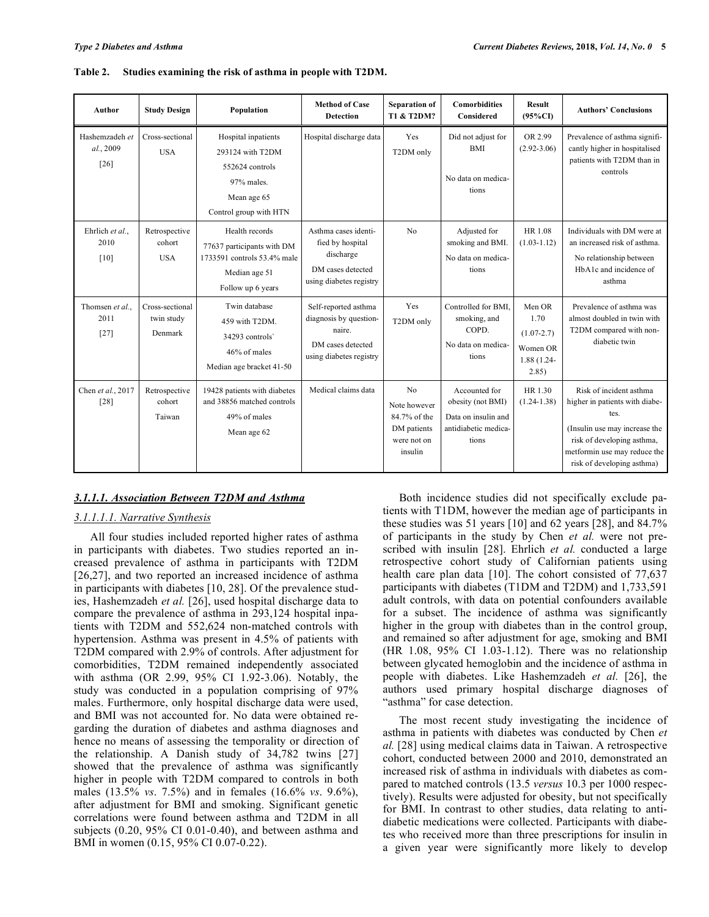| <b>Author</b>                         | <b>Study Design</b>                      | Population                                                                                                        | <b>Method of Case</b><br><b>Detection</b>                                                                | Separation of<br>T1 & T2DM?                                                             | <b>Comorbidities</b><br>Considered                                                         | <b>Result</b><br>$(95\%CI)$                                          | <b>Authors' Conclusions</b>                                                                                                                                                                    |
|---------------------------------------|------------------------------------------|-------------------------------------------------------------------------------------------------------------------|----------------------------------------------------------------------------------------------------------|-----------------------------------------------------------------------------------------|--------------------------------------------------------------------------------------------|----------------------------------------------------------------------|------------------------------------------------------------------------------------------------------------------------------------------------------------------------------------------------|
| Hashemzadeh et<br>al., 2009<br>$[26]$ | Cross-sectional<br><b>USA</b>            | Hospital inpatients<br>293124 with T2DM<br>552624 controls<br>97% males.<br>Mean age 65<br>Control group with HTN | Hospital discharge data                                                                                  | Yes<br>T2DM only                                                                        | Did not adjust for<br><b>BMI</b><br>No data on medica-<br>tions                            | OR 2.99<br>$(2.92 - 3.06)$                                           | Prevalence of asthma signifi-<br>cantly higher in hospitalised<br>patients with T2DM than in<br>controls                                                                                       |
| Ehrlich et al<br>2010<br>[10]         | Retrospective<br>cohort<br><b>USA</b>    | Health records<br>77637 participants with DM<br>1733591 controls 53.4% male<br>Median age 51<br>Follow up 6 years | Asthma cases identi-<br>fied by hospital<br>discharge<br>DM cases detected<br>using diabetes registry    | No                                                                                      | Adjusted for<br>smoking and BMI.<br>No data on medica-<br>tions                            | HR 1.08<br>$(1.03 - 1.12)$                                           | Individuals with DM were at<br>an increased risk of asthma.<br>No relationship between<br>HbA1c and incidence of<br>asthma                                                                     |
| Thomsen et al<br>2011<br>$[27]$       | Cross-sectional<br>twin study<br>Denmark | Twin database<br>459 with T2DM.<br>34293 controls<br>46% of males<br>Median age bracket 41-50                     | Self-reported asthma<br>diagnosis by question-<br>naire.<br>DM cases detected<br>using diabetes registry | Yes<br>T2DM only                                                                        | Controlled for BMI.<br>smoking, and<br>COPD.<br>No data on medica-<br>tions                | Men OR<br>1.70<br>$(1.07 - 2.7)$<br>Women OR<br>1.88 (1.24-<br>2.85) | Prevalence of asthma was<br>almost doubled in twin with<br>T2DM compared with non-<br>diabetic twin                                                                                            |
| Chen et al., 2017<br>$[28]$           | Retrospective<br>cohort<br>Taiwan        | 19428 patients with diabetes<br>and 38856 matched controls<br>49% of males<br>Mean age 62                         | Medical claims data                                                                                      | N <sub>o</sub><br>Note however<br>84.7% of the<br>DM patients<br>were not on<br>insulin | Accounted for<br>obesity (not BMI)<br>Data on insulin and<br>antidiabetic medica-<br>tions | HR 1.30<br>$(1.24 - 1.38)$                                           | Risk of incident asthma<br>higher in patients with diabe-<br>tes.<br>(Insulin use may increase the<br>risk of developing asthma,<br>metformin use may reduce the<br>risk of developing asthma) |

| Table 2. Studies examining the risk of asthma in people with T2DM. |  |
|--------------------------------------------------------------------|--|
|                                                                    |  |

# *3.1.1.1. Association Between T2DM and Asthma*

# *3.1.1.1.1. Narrative Synthesis*

All four studies included reported higher rates of asthma in participants with diabetes. Two studies reported an increased prevalence of asthma in participants with T2DM [26,27], and two reported an increased incidence of asthma in participants with diabetes [10, 28]. Of the prevalence studies, Hashemzadeh *et al.* [26], used hospital discharge data to compare the prevalence of asthma in 293,124 hospital inpatients with T2DM and 552,624 non-matched controls with hypertension. Asthma was present in 4.5% of patients with T2DM compared with 2.9% of controls. After adjustment for comorbidities, T2DM remained independently associated with asthma (OR 2.99, 95% CI 1.92-3.06). Notably, the study was conducted in a population comprising of 97% males. Furthermore, only hospital discharge data were used, and BMI was not accounted for. No data were obtained regarding the duration of diabetes and asthma diagnoses and hence no means of assessing the temporality or direction of the relationship. A Danish study of 34,782 twins [27] showed that the prevalence of asthma was significantly higher in people with T2DM compared to controls in both males (13.5% *vs*. 7.5%) and in females (16.6% *vs*. 9.6%), after adjustment for BMI and smoking. Significant genetic correlations were found between asthma and T2DM in all subjects (0.20, 95% CI 0.01-0.40), and between asthma and BMI in women (0.15, 95% CI 0.07-0.22).

Both incidence studies did not specifically exclude patients with T1DM, however the median age of participants in these studies was 51 years [10] and 62 years [28], and 84.7% of participants in the study by Chen *et al.* were not prescribed with insulin [28]. Ehrlich *et al.* conducted a large retrospective cohort study of Californian patients using health care plan data [10]. The cohort consisted of 77,637 participants with diabetes (T1DM and T2DM) and 1,733,591 adult controls, with data on potential confounders available for a subset. The incidence of asthma was significantly higher in the group with diabetes than in the control group, and remained so after adjustment for age, smoking and BMI (HR 1.08, 95% CI 1.03-1.12). There was no relationship between glycated hemoglobin and the incidence of asthma in people with diabetes. Like Hashemzadeh *et al.* [26], the authors used primary hospital discharge diagnoses of "asthma" for case detection.

The most recent study investigating the incidence of asthma in patients with diabetes was conducted by Chen *et al.* [28] using medical claims data in Taiwan. A retrospective cohort, conducted between 2000 and 2010, demonstrated an increased risk of asthma in individuals with diabetes as compared to matched controls (13.5 *versus* 10.3 per 1000 respectively). Results were adjusted for obesity, but not specifically for BMI. In contrast to other studies, data relating to antidiabetic medications were collected. Participants with diabetes who received more than three prescriptions for insulin in a given year were significantly more likely to develop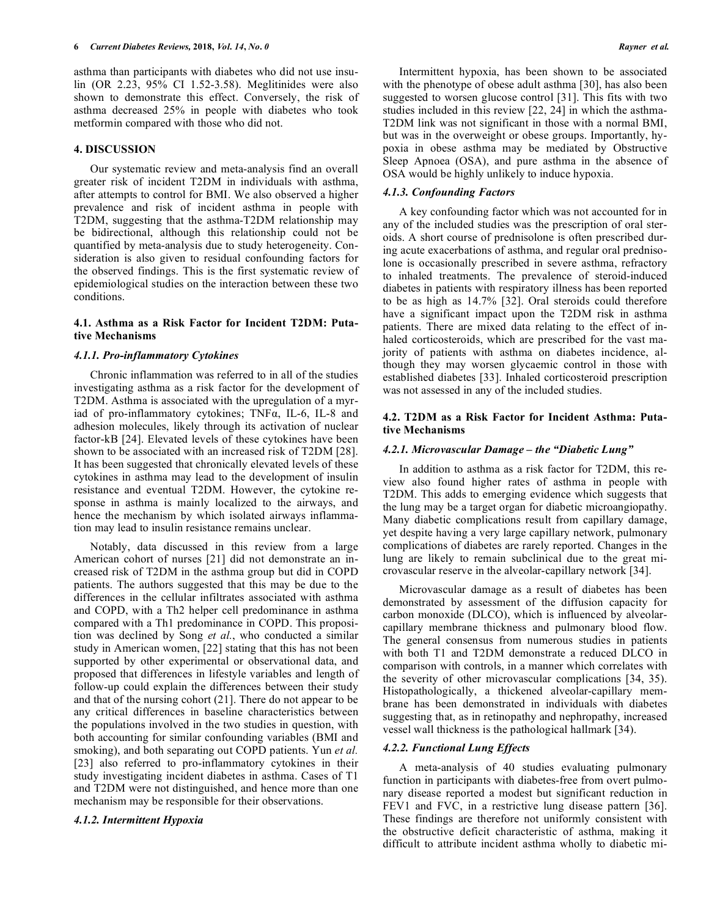asthma than participants with diabetes who did not use insulin (OR 2.23, 95% CI 1.52-3.58). Meglitinides were also shown to demonstrate this effect. Conversely, the risk of asthma decreased 25% in people with diabetes who took metformin compared with those who did not.

# **4. DISCUSSION**

Our systematic review and meta-analysis find an overall greater risk of incident T2DM in individuals with asthma, after attempts to control for BMI. We also observed a higher prevalence and risk of incident asthma in people with T2DM, suggesting that the asthma-T2DM relationship may be bidirectional, although this relationship could not be quantified by meta-analysis due to study heterogeneity. Consideration is also given to residual confounding factors for the observed findings. This is the first systematic review of epidemiological studies on the interaction between these two conditions.

# **4.1. Asthma as a Risk Factor for Incident T2DM: Putative Mechanisms**

# *4.1.1. Pro-inflammatory Cytokines*

Chronic inflammation was referred to in all of the studies investigating asthma as a risk factor for the development of T2DM. Asthma is associated with the upregulation of a myriad of pro-inflammatory cytokines; TNFα, IL-6, IL-8 and adhesion molecules, likely through its activation of nuclear factor-kB [24]. Elevated levels of these cytokines have been shown to be associated with an increased risk of T2DM [28]. It has been suggested that chronically elevated levels of these cytokines in asthma may lead to the development of insulin resistance and eventual T2DM. However, the cytokine response in asthma is mainly localized to the airways, and hence the mechanism by which isolated airways inflammation may lead to insulin resistance remains unclear.

Notably, data discussed in this review from a large American cohort of nurses [21] did not demonstrate an increased risk of T2DM in the asthma group but did in COPD patients. The authors suggested that this may be due to the differences in the cellular infiltrates associated with asthma and COPD, with a Th2 helper cell predominance in asthma compared with a Th1 predominance in COPD. This proposition was declined by Song *et al.*, who conducted a similar study in American women, [22] stating that this has not been supported by other experimental or observational data, and proposed that differences in lifestyle variables and length of follow-up could explain the differences between their study and that of the nursing cohort (21]. There do not appear to be any critical differences in baseline characteristics between the populations involved in the two studies in question, with both accounting for similar confounding variables (BMI and smoking), and both separating out COPD patients. Yun *et al.* [23] also referred to pro-inflammatory cytokines in their study investigating incident diabetes in asthma. Cases of T1 and T2DM were not distinguished, and hence more than one mechanism may be responsible for their observations.

# *4.1.2. Intermittent Hypoxia*

Intermittent hypoxia, has been shown to be associated with the phenotype of obese adult asthma [30], has also been suggested to worsen glucose control [31]. This fits with two studies included in this review [22, 24] in which the asthma-T2DM link was not significant in those with a normal BMI, but was in the overweight or obese groups. Importantly, hypoxia in obese asthma may be mediated by Obstructive Sleep Apnoea (OSA), and pure asthma in the absence of OSA would be highly unlikely to induce hypoxia.

# *4.1.3. Confounding Factors*

A key confounding factor which was not accounted for in any of the included studies was the prescription of oral steroids. A short course of prednisolone is often prescribed during acute exacerbations of asthma, and regular oral prednisolone is occasionally prescribed in severe asthma, refractory to inhaled treatments. The prevalence of steroid-induced diabetes in patients with respiratory illness has been reported to be as high as 14.7% [32]. Oral steroids could therefore have a significant impact upon the T2DM risk in asthma patients. There are mixed data relating to the effect of inhaled corticosteroids, which are prescribed for the vast majority of patients with asthma on diabetes incidence, although they may worsen glycaemic control in those with established diabetes [33]. Inhaled corticosteroid prescription was not assessed in any of the included studies.

# **4.2. T2DM as a Risk Factor for Incident Asthma: Putative Mechanisms**

# *4.2.1. Microvascular Damage – the "Diabetic Lung"*

In addition to asthma as a risk factor for T2DM, this review also found higher rates of asthma in people with T2DM. This adds to emerging evidence which suggests that the lung may be a target organ for diabetic microangiopathy. Many diabetic complications result from capillary damage, yet despite having a very large capillary network, pulmonary complications of diabetes are rarely reported. Changes in the lung are likely to remain subclinical due to the great microvascular reserve in the alveolar-capillary network [34].

Microvascular damage as a result of diabetes has been demonstrated by assessment of the diffusion capacity for carbon monoxide (DLCO), which is influenced by alveolarcapillary membrane thickness and pulmonary blood flow. The general consensus from numerous studies in patients with both T1 and T2DM demonstrate a reduced DLCO in comparison with controls, in a manner which correlates with the severity of other microvascular complications [34, 35). Histopathologically, a thickened alveolar-capillary membrane has been demonstrated in individuals with diabetes suggesting that, as in retinopathy and nephropathy, increased vessel wall thickness is the pathological hallmark [34).

# *4.2.2. Functional Lung Effects*

A meta-analysis of 40 studies evaluating pulmonary function in participants with diabetes-free from overt pulmonary disease reported a modest but significant reduction in FEV1 and FVC, in a restrictive lung disease pattern [36]. These findings are therefore not uniformly consistent with the obstructive deficit characteristic of asthma, making it difficult to attribute incident asthma wholly to diabetic mi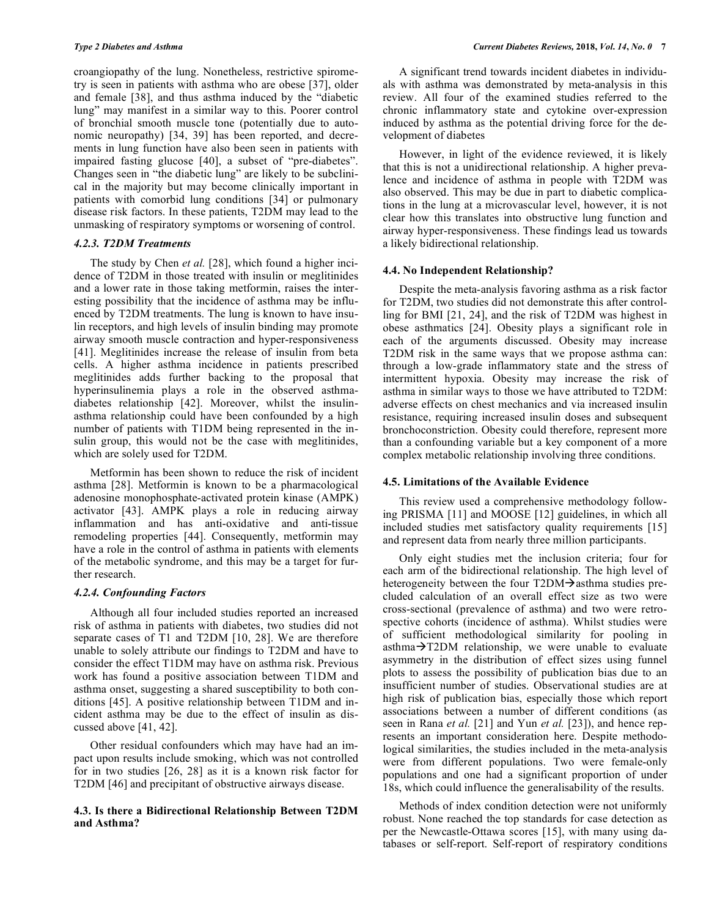croangiopathy of the lung. Nonetheless, restrictive spirometry is seen in patients with asthma who are obese [37], older and female [38], and thus asthma induced by the "diabetic lung" may manifest in a similar way to this. Poorer control of bronchial smooth muscle tone (potentially due to autonomic neuropathy) [34, 39] has been reported, and decrements in lung function have also been seen in patients with impaired fasting glucose [40], a subset of "pre-diabetes". Changes seen in "the diabetic lung" are likely to be subclinical in the majority but may become clinically important in patients with comorbid lung conditions [34] or pulmonary disease risk factors. In these patients, T2DM may lead to the unmasking of respiratory symptoms or worsening of control.

# *4.2.3. T2DM Treatments*

The study by Chen *et al.* [28], which found a higher incidence of T2DM in those treated with insulin or meglitinides and a lower rate in those taking metformin, raises the interesting possibility that the incidence of asthma may be influenced by T2DM treatments. The lung is known to have insulin receptors, and high levels of insulin binding may promote airway smooth muscle contraction and hyper-responsiveness [41]. Meglitinides increase the release of insulin from beta cells. A higher asthma incidence in patients prescribed meglitinides adds further backing to the proposal that hyperinsulinemia plays a role in the observed asthmadiabetes relationship [42]. Moreover, whilst the insulinasthma relationship could have been confounded by a high number of patients with T1DM being represented in the insulin group, this would not be the case with meglitinides, which are solely used for T2DM.

Metformin has been shown to reduce the risk of incident asthma [28]. Metformin is known to be a pharmacological adenosine monophosphate-activated protein kinase (AMPK) activator [43]. AMPK plays a role in reducing airway inflammation and has anti-oxidative and anti-tissue remodeling properties [44]. Consequently, metformin may have a role in the control of asthma in patients with elements of the metabolic syndrome, and this may be a target for further research.

# *4.2.4. Confounding Factors*

Although all four included studies reported an increased risk of asthma in patients with diabetes, two studies did not separate cases of T1 and T2DM [10, 28]. We are therefore unable to solely attribute our findings to T2DM and have to consider the effect T1DM may have on asthma risk. Previous work has found a positive association between T1DM and asthma onset, suggesting a shared susceptibility to both conditions [45]. A positive relationship between T1DM and incident asthma may be due to the effect of insulin as discussed above [41, 42].

Other residual confounders which may have had an impact upon results include smoking, which was not controlled for in two studies [26, 28] as it is a known risk factor for T2DM [46] and precipitant of obstructive airways disease.

# **4.3. Is there a Bidirectional Relationship Between T2DM and Asthma?**

A significant trend towards incident diabetes in individuals with asthma was demonstrated by meta-analysis in this review. All four of the examined studies referred to the chronic inflammatory state and cytokine over-expression induced by asthma as the potential driving force for the development of diabetes

However, in light of the evidence reviewed, it is likely that this is not a unidirectional relationship. A higher prevalence and incidence of asthma in people with T2DM was also observed. This may be due in part to diabetic complications in the lung at a microvascular level, however, it is not clear how this translates into obstructive lung function and airway hyper-responsiveness. These findings lead us towards a likely bidirectional relationship.

## **4.4. No Independent Relationship?**

Despite the meta-analysis favoring asthma as a risk factor for T2DM, two studies did not demonstrate this after controlling for BMI [21, 24], and the risk of T2DM was highest in obese asthmatics [24]. Obesity plays a significant role in each of the arguments discussed. Obesity may increase T2DM risk in the same ways that we propose asthma can: through a low-grade inflammatory state and the stress of intermittent hypoxia. Obesity may increase the risk of asthma in similar ways to those we have attributed to T2DM: adverse effects on chest mechanics and via increased insulin resistance, requiring increased insulin doses and subsequent bronchoconstriction. Obesity could therefore, represent more than a confounding variable but a key component of a more complex metabolic relationship involving three conditions.

# **4.5. Limitations of the Available Evidence**

This review used a comprehensive methodology following PRISMA [11] and MOOSE [12] guidelines, in which all included studies met satisfactory quality requirements [15] and represent data from nearly three million participants.

Only eight studies met the inclusion criteria; four for each arm of the bidirectional relationship. The high level of heterogeneity between the four  $T2DM\rightarrow$  asthma studies precluded calculation of an overall effect size as two were cross-sectional (prevalence of asthma) and two were retrospective cohorts (incidence of asthma). Whilst studies were of sufficient methodological similarity for pooling in asthma $\rightarrow$ T2DM relationship, we were unable to evaluate asymmetry in the distribution of effect sizes using funnel plots to assess the possibility of publication bias due to an insufficient number of studies. Observational studies are at high risk of publication bias, especially those which report associations between a number of different conditions (as seen in Rana *et al.* [21] and Yun *et al.* [23]), and hence represents an important consideration here. Despite methodological similarities, the studies included in the meta-analysis were from different populations. Two were female-only populations and one had a significant proportion of under 18s, which could influence the generalisability of the results.

Methods of index condition detection were not uniformly robust. None reached the top standards for case detection as per the Newcastle-Ottawa scores [15], with many using databases or self-report. Self-report of respiratory conditions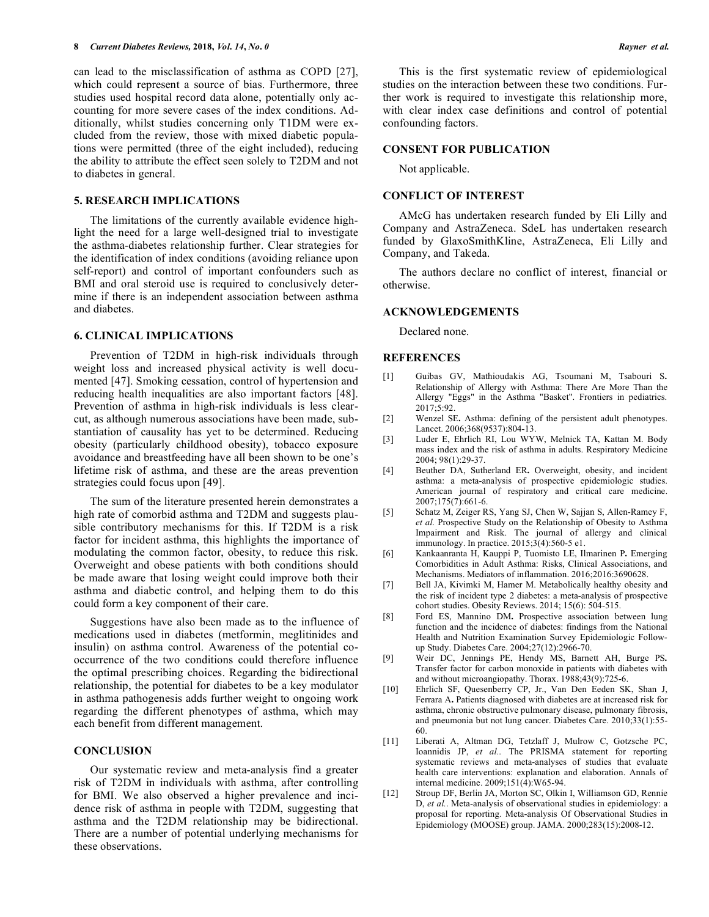can lead to the misclassification of asthma as COPD [27], which could represent a source of bias. Furthermore, three studies used hospital record data alone, potentially only accounting for more severe cases of the index conditions. Additionally, whilst studies concerning only T1DM were excluded from the review, those with mixed diabetic populations were permitted (three of the eight included), reducing the ability to attribute the effect seen solely to T2DM and not to diabetes in general.

## **5. RESEARCH IMPLICATIONS**

The limitations of the currently available evidence highlight the need for a large well-designed trial to investigate the asthma-diabetes relationship further. Clear strategies for the identification of index conditions (avoiding reliance upon self-report) and control of important confounders such as BMI and oral steroid use is required to conclusively determine if there is an independent association between asthma and diabetes.

# **6. CLINICAL IMPLICATIONS**

Prevention of T2DM in high-risk individuals through weight loss and increased physical activity is well documented [47]. Smoking cessation, control of hypertension and reducing health inequalities are also important factors [48]. Prevention of asthma in high-risk individuals is less clearcut, as although numerous associations have been made, substantiation of causality has yet to be determined. Reducing obesity (particularly childhood obesity), tobacco exposure avoidance and breastfeeding have all been shown to be one's lifetime risk of asthma, and these are the areas prevention strategies could focus upon [49].

The sum of the literature presented herein demonstrates a high rate of comorbid asthma and T2DM and suggests plausible contributory mechanisms for this. If T2DM is a risk factor for incident asthma, this highlights the importance of modulating the common factor, obesity, to reduce this risk. Overweight and obese patients with both conditions should be made aware that losing weight could improve both their asthma and diabetic control, and helping them to do this could form a key component of their care.

Suggestions have also been made as to the influence of medications used in diabetes (metformin, meglitinides and insulin) on asthma control. Awareness of the potential cooccurrence of the two conditions could therefore influence the optimal prescribing choices. Regarding the bidirectional relationship, the potential for diabetes to be a key modulator in asthma pathogenesis adds further weight to ongoing work regarding the different phenotypes of asthma, which may each benefit from different management.

# **CONCLUSION**

Our systematic review and meta-analysis find a greater risk of T2DM in individuals with asthma, after controlling for BMI. We also observed a higher prevalence and incidence risk of asthma in people with T2DM, suggesting that asthma and the T2DM relationship may be bidirectional. There are a number of potential underlying mechanisms for these observations.

This is the first systematic review of epidemiological studies on the interaction between these two conditions. Further work is required to investigate this relationship more, with clear index case definitions and control of potential confounding factors.

## **CONSENT FOR PUBLICATION**

Not applicable.

# **CONFLICT OF INTEREST**

AMcG has undertaken research funded by Eli Lilly and Company and AstraZeneca. SdeL has undertaken research funded by GlaxoSmithKline, AstraZeneca, Eli Lilly and Company, and Takeda.

The authors declare no conflict of interest, financial or otherwise.

# **ACKNOWLEDGEMENTS**

Declared none.

#### **REFERENCES**

- [1] Guibas GV, Mathioudakis AG, Tsoumani M, Tsabouri S**.**  Relationship of Allergy with Asthma: There Are More Than the Allergy "Eggs" in the Asthma "Basket". Frontiers in pediatrics. 2017;5:92.
- [2] Wenzel SE**.** Asthma: defining of the persistent adult phenotypes. Lancet. 2006;368(9537):804-13.
- [3] Luder E, Ehrlich RI, Lou WYW, Melnick TA, Kattan M. Body mass index and the risk of asthma in adults. Respiratory Medicine 2004; 98(1):29-37.
- [4] Beuther DA, Sutherland ER**.** Overweight, obesity, and incident asthma: a meta-analysis of prospective epidemiologic studies. American journal of respiratory and critical care medicine. 2007;175(7):661-6.
- [5] Schatz M, Zeiger RS, Yang SJ, Chen W, Sajjan S, Allen-Ramey F, *et al.* Prospective Study on the Relationship of Obesity to Asthma Impairment and Risk. The journal of allergy and clinical immunology. In practice. 2015;3(4):560-5 e1.
- [6] Kankaanranta H, Kauppi P, Tuomisto LE, Ilmarinen P**.** Emerging Comorbidities in Adult Asthma: Risks, Clinical Associations, and Mechanisms. Mediators of inflammation. 2016;2016:3690628.
- [7] Bell JA, Kivimki M, Hamer M. Metabolically healthy obesity and the risk of incident type 2 diabetes: a meta-analysis of prospective cohort studies. Obesity Reviews. 2014; 15(6): 504-515.
- [8] Ford ES, Mannino DM**.** Prospective association between lung function and the incidence of diabetes: findings from the National Health and Nutrition Examination Survey Epidemiologic Followup Study. Diabetes Care. 2004;27(12):2966-70.
- [9] Weir DC, Jennings PE, Hendy MS, Barnett AH, Burge PS**.**  Transfer factor for carbon monoxide in patients with diabetes with and without microangiopathy. Thorax. 1988;43(9):725-6.
- [10] Ehrlich SF, Quesenberry CP, Jr., Van Den Eeden SK, Shan J, Ferrara A**.** Patients diagnosed with diabetes are at increased risk for asthma, chronic obstructive pulmonary disease, pulmonary fibrosis, and pneumonia but not lung cancer. Diabetes Care. 2010;33(1):55- 60.
- [11] Liberati A, Altman DG, Tetzlaff J, Mulrow C, Gotzsche PC, Ioannidis JP, *et al.*. The PRISMA statement for reporting systematic reviews and meta-analyses of studies that evaluate health care interventions: explanation and elaboration. Annals of internal medicine. 2009;151(4):W65-94.
- [12] Stroup DF, Berlin JA, Morton SC, Olkin I, Williamson GD, Rennie D, *et al.*. Meta-analysis of observational studies in epidemiology: a proposal for reporting. Meta-analysis Of Observational Studies in Epidemiology (MOOSE) group. JAMA. 2000;283(15):2008-12.